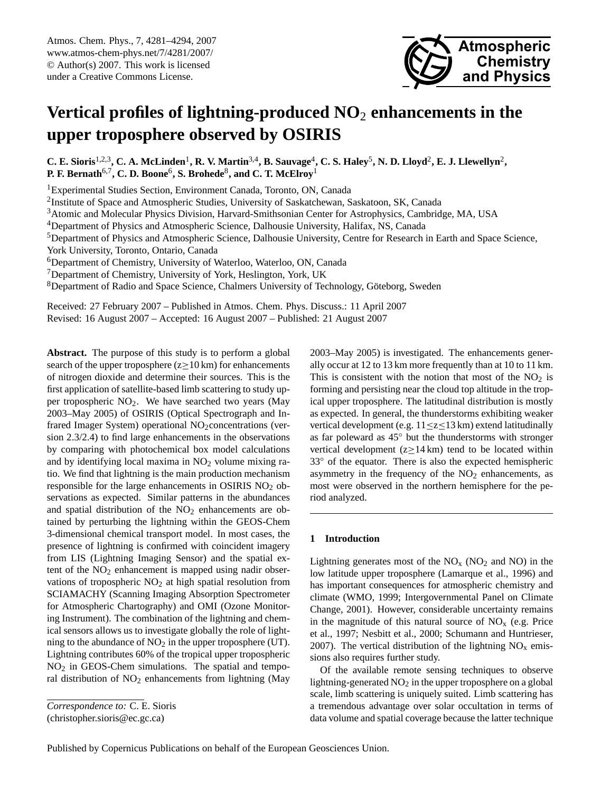<span id="page-0-0"></span>Atmos. Chem. Phys., 7, 4281–4294, 2007 www.atmos-chem-phys.net/7/4281/2007/ © Author(s) 2007. This work is licensed under a Creative Commons License.



# **Vertical profiles of lightning-produced NO**<sup>2</sup> **enhancements in the upper troposphere observed by OSIRIS**

**C. E. Sioris**<sup>1,2,3</sup>, C. A. McLinden<sup>1</sup>, R. V. Martin<sup>3,4</sup>, B. Sauvage<sup>4</sup>, C. S. Haley<sup>5</sup>, N. D. Lloyd<sup>2</sup>, E. J. Llewellyn<sup>2</sup>, **P. F. Bernath**6,7**, C. D. Boone**<sup>6</sup> **, S. Brohede**<sup>8</sup> **, and C. T. McElroy**<sup>1</sup>

<sup>1</sup> Experimental Studies Section, Environment Canada, Toronto, ON, Canada

<sup>2</sup>Institute of Space and Atmospheric Studies, University of Saskatchewan, Saskatoon, SK, Canada

<sup>3</sup>Atomic and Molecular Physics Division, Harvard-Smithsonian Center for Astrophysics, Cambridge, MA, USA

<sup>4</sup>Department of Physics and Atmospheric Science, Dalhousie University, Halifax, NS, Canada

<sup>5</sup>Department of Physics and Atmospheric Science, Dalhousie University, Centre for Research in Earth and Space Science,

York University, Toronto, Ontario, Canada

<sup>6</sup>Department of Chemistry, University of Waterloo, Waterloo, ON, Canada

<sup>7</sup>Department of Chemistry, University of York, Heslington, York, UK

<sup>8</sup>Department of Radio and Space Science, Chalmers University of Technology, Göteborg, Sweden

Received: 27 February 2007 – Published in Atmos. Chem. Phys. Discuss.: 11 April 2007

Revised: 16 August 2007 – Accepted: 16 August 2007 – Published: 21 August 2007

**Abstract.** The purpose of this study is to perform a global search of the upper troposphere ( $z \ge 10$  km) for enhancements of nitrogen dioxide and determine their sources. This is the first application of satellite-based limb scattering to study upper tropospheric  $NO<sub>2</sub>$ . We have searched two years (May 2003–May 2005) of OSIRIS (Optical Spectrograph and Infrared Imager System) operational  $NO<sub>2</sub>$  concentrations (version 2.3/2.4) to find large enhancements in the observations by comparing with photochemical box model calculations and by identifying local maxima in  $NO<sub>2</sub>$  volume mixing ratio. We find that lightning is the main production mechanism responsible for the large enhancements in OSIRIS NO<sub>2</sub> observations as expected. Similar patterns in the abundances and spatial distribution of the  $NO<sub>2</sub>$  enhancements are obtained by perturbing the lightning within the GEOS-Chem 3-dimensional chemical transport model. In most cases, the presence of lightning is confirmed with coincident imagery from LIS (Lightning Imaging Sensor) and the spatial extent of the  $NO<sub>2</sub>$  enhancement is mapped using nadir observations of tropospheric  $NO<sub>2</sub>$  at high spatial resolution from SCIAMACHY (Scanning Imaging Absorption Spectrometer for Atmospheric Chartography) and OMI (Ozone Monitoring Instrument). The combination of the lightning and chemical sensors allows us to investigate globally the role of lightning to the abundance of  $NO<sub>2</sub>$  in the upper troposphere (UT). Lightning contributes 60% of the tropical upper tropospheric NO<sup>2</sup> in GEOS-Chem simulations. The spatial and temporal distribution of  $NO<sub>2</sub>$  enhancements from lightning (May

(christopher.sioris@ec.gc.ca)

2003–May 2005) is investigated. The enhancements generally occur at 12 to 13 km more frequently than at 10 to 11 km. This is consistent with the notion that most of the  $NO<sub>2</sub>$  is forming and persisting near the cloud top altitude in the tropical upper troposphere. The latitudinal distribution is mostly as expected. In general, the thunderstorms exhibiting weaker vertical development (e.g.  $11 \le z \le 13$  km) extend latitudinally as far poleward as 45◦ but the thunderstorms with stronger vertical development ( $z \ge 14$  km) tend to be located within 33◦ of the equator. There is also the expected hemispheric asymmetry in the frequency of the  $NO<sub>2</sub>$  enhancements, as most were observed in the northern hemisphere for the period analyzed.

# **1 Introduction**

Lightning generates most of the  $NO<sub>x</sub>$  ( $NO<sub>2</sub>$  and  $NO<sub>2</sub>$ ) in the low latitude upper troposphere (Lamarque et al., 1996) and has important consequences for atmospheric chemistry and climate (WMO, 1999; Intergovernmental Panel on Climate Change, 2001). However, considerable uncertainty remains in the magnitude of this natural source of  $NO<sub>x</sub>$  (e.g. Price et al., 1997; Nesbitt et al., 2000; Schumann and Huntrieser, 2007). The vertical distribution of the lightning  $NO<sub>x</sub>$  emissions also requires further study.

Of the available remote sensing techniques to observe lightning-generated  $NO<sub>2</sub>$  in the upper troposphere on a global scale, limb scattering is uniquely suited. Limb scattering has a tremendous advantage over solar occultation in terms of data volume and spatial coverage because the latter technique

*Correspondence to:* C. E. Sioris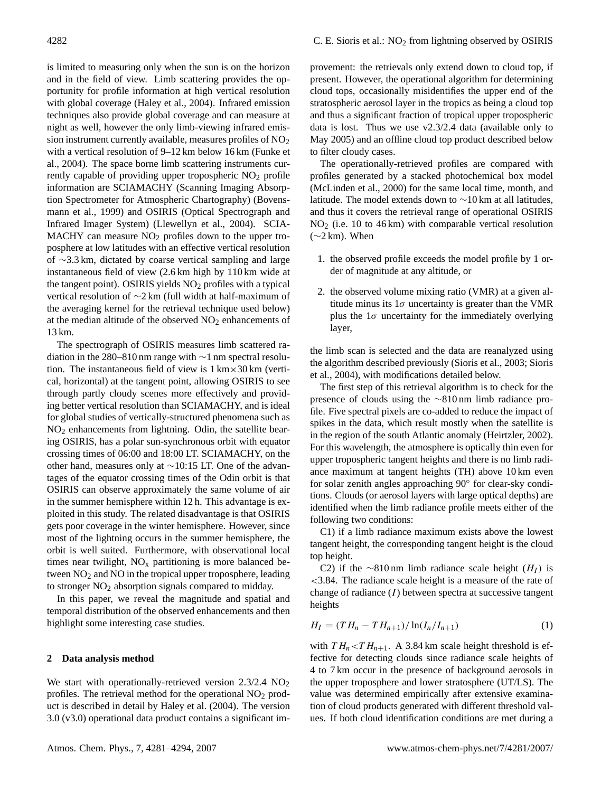is limited to measuring only when the sun is on the horizon and in the field of view. Limb scattering provides the opportunity for profile information at high vertical resolution with global coverage (Haley et al., 2004). Infrared emission techniques also provide global coverage and can measure at night as well, however the only limb-viewing infrared emission instrument currently available, measures profiles of  $NO<sub>2</sub>$ with a vertical resolution of 9–12 km below 16 km (Funke et al., 2004). The space borne limb scattering instruments currently capable of providing upper tropospheric NO<sub>2</sub> profile information are SCIAMACHY (Scanning Imaging Absorption Spectrometer for Atmospheric Chartography) (Bovensmann et al., 1999) and OSIRIS (Optical Spectrograph and Infrared Imager System) (Llewellyn et al., 2004). SCIA-MACHY can measure  $NO<sub>2</sub>$  profiles down to the upper troposphere at low latitudes with an effective vertical resolution of ∼3.3 km, dictated by coarse vertical sampling and large instantaneous field of view (2.6 km high by 110 km wide at the tangent point). OSIRIS yields  $NO<sub>2</sub>$  profiles with a typical vertical resolution of ∼2 km (full width at half-maximum of the averaging kernel for the retrieval technique used below) at the median altitude of the observed NO<sub>2</sub> enhancements of 13 km.

The spectrograph of OSIRIS measures limb scattered radiation in the 280–810 nm range with ∼1 nm spectral resolution. The instantaneous field of view is  $1 \text{ km} \times 30 \text{ km}$  (vertical, horizontal) at the tangent point, allowing OSIRIS to see through partly cloudy scenes more effectively and providing better vertical resolution than SCIAMACHY, and is ideal for global studies of vertically-structured phenomena such as  $NO<sub>2</sub>$  enhancements from lightning. Odin, the satellite bearing OSIRIS, has a polar sun-synchronous orbit with equator crossing times of 06:00 and 18:00 LT. SCIAMACHY, on the other hand, measures only at ∼10:15 LT. One of the advantages of the equator crossing times of the Odin orbit is that OSIRIS can observe approximately the same volume of air in the summer hemisphere within 12 h. This advantage is exploited in this study. The related disadvantage is that OSIRIS gets poor coverage in the winter hemisphere. However, since most of the lightning occurs in the summer hemisphere, the orbit is well suited. Furthermore, with observational local times near twilight,  $NO<sub>x</sub>$  partitioning is more balanced between  $NO<sub>2</sub>$  and  $NO$  in the tropical upper troposphere, leading to stronger  $NO<sub>2</sub>$  absorption signals compared to midday.

In this paper, we reveal the magnitude and spatial and temporal distribution of the observed enhancements and then highlight some interesting case studies.

#### **2 Data analysis method**

We start with operationally-retrieved version  $2.3/2.4$  NO<sub>2</sub> profiles. The retrieval method for the operational  $NO<sub>2</sub>$  product is described in detail by Haley et al. (2004). The version 3.0 (v3.0) operational data product contains a significant im-

provement: the retrievals only extend down to cloud top, if present. However, the operational algorithm for determining cloud tops, occasionally misidentifies the upper end of the stratospheric aerosol layer in the tropics as being a cloud top and thus a significant fraction of tropical upper tropospheric data is lost. Thus we use v2.3/2.4 data (available only to May 2005) and an offline cloud top product described below to filter cloudy cases.

The operationally-retrieved profiles are compared with profiles generated by a stacked photochemical box model (McLinden et al., 2000) for the same local time, month, and latitude. The model extends down to  $\sim$ 10 km at all latitudes, and thus it covers the retrieval range of operational OSIRIS  $NO<sub>2</sub>$  (i.e. 10 to 46 km) with comparable vertical resolution  $(\sim 2 \text{ km})$ . When

- 1. the observed profile exceeds the model profile by 1 order of magnitude at any altitude, or
- 2. the observed volume mixing ratio (VMR) at a given altitude minus its  $1\sigma$  uncertainty is greater than the VMR plus the  $1\sigma$  uncertainty for the immediately overlying layer,

the limb scan is selected and the data are reanalyzed using the algorithm described previously (Sioris et al., 2003; Sioris et al., 2004), with modifications detailed below.

The first step of this retrieval algorithm is to check for the presence of clouds using the ∼810 nm limb radiance profile. Five spectral pixels are co-added to reduce the impact of spikes in the data, which result mostly when the satellite is in the region of the south Atlantic anomaly (Heirtzler, 2002). For this wavelength, the atmosphere is optically thin even for upper tropospheric tangent heights and there is no limb radiance maximum at tangent heights (TH) above 10 km even for solar zenith angles approaching 90◦ for clear-sky conditions. Clouds (or aerosol layers with large optical depths) are identified when the limb radiance profile meets either of the following two conditions:

C1) if a limb radiance maximum exists above the lowest tangent height, the corresponding tangent height is the cloud top height.

C2) if the ∼810 nm limb radiance scale height  $(H_I)$  is <3.84. The radiance scale height is a measure of the rate of change of radiance  $(I)$  between spectra at successive tangent heights

$$
H_I = (TH_n - TH_{n+1})/\ln(I_n/I_{n+1})
$$
\n(1)

with  $TH_n < TH_{n+1}$ . A 3.84 km scale height threshold is effective for detecting clouds since radiance scale heights of 4 to 7 km occur in the presence of background aerosols in the upper troposphere and lower stratosphere (UT/LS). The value was determined empirically after extensive examination of cloud products generated with different threshold values. If both cloud identification conditions are met during a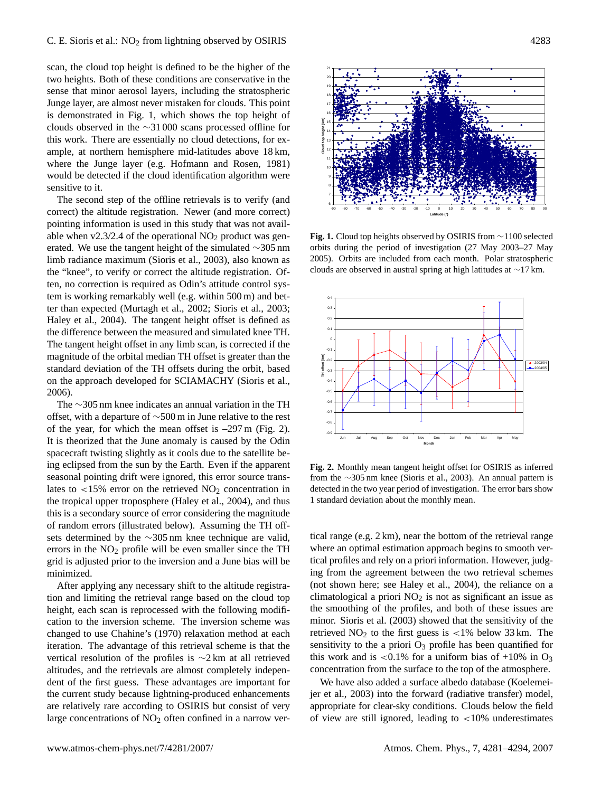scan, the cloud top height is defined to be the higher of the two heights. Both of these conditions are conservative in the sense that minor aerosol layers, including the stratospheric Junge layer, are almost never mistaken for clouds. This point is demonstrated in Fig. 1, which shows the top height of clouds observed in the ∼31 000 scans processed offline for this work. There are essentially no cloud detections, for example, at northern hemisphere mid-latitudes above 18 km, where the Junge layer (e.g. Hofmann and Rosen, 1981) would be detected if the cloud identification algorithm were sensitive to it.

The second step of the offline retrievals is to verify (and correct) the altitude registration. Newer (and more correct) pointing information is used in this study that was not available when  $v2.3/2.4$  of the operational  $NO<sub>2</sub>$  product was generated. We use the tangent height of the simulated ∼305 nm limb radiance maximum (Sioris et al., 2003), also known as the "knee", to verify or correct the altitude registration. Often, no correction is required as Odin's attitude control system is working remarkably well (e.g. within 500 m) and better than expected (Murtagh et al., 2002; Sioris et al., 2003; Haley et al., 2004). The tangent height offset is defined as the difference between the measured and simulated knee TH. The tangent height offset in any limb scan, is corrected if the magnitude of the orbital median TH offset is greater than the standard deviation of the TH offsets during the orbit, based on the approach developed for SCIAMACHY (Sioris et al., 2006).

The ∼305 nm knee indicates an annual variation in the TH offset, with a departure of ∼500 m in June relative to the rest of the year, for which the mean offset is –297 m (Fig. 2). It is theorized that the June anomaly is caused by the Odin spacecraft twisting slightly as it cools due to the satellite being eclipsed from the sun by the Earth. Even if the apparent seasonal pointing drift were ignored, this error source translates to  $\langle 15\% \rangle$  error on the retrieved NO<sub>2</sub> concentration in the tropical upper troposphere (Haley et al., 2004), and thus this is a secondary source of error considering the magnitude of random errors (illustrated below). Assuming the TH offsets determined by the ∼305 nm knee technique are valid, errors in the  $NO<sub>2</sub>$  profile will be even smaller since the TH grid is adjusted prior to the inversion and a June bias will be minimized.

After applying any necessary shift to the altitude registration and limiting the retrieval range based on the cloud top height, each scan is reprocessed with the following modification to the inversion scheme. The inversion scheme was changed to use Chahine's (1970) relaxation method at each iteration. The advantage of this retrieval scheme is that the vertical resolution of the profiles is ∼2 km at all retrieved altitudes, and the retrievals are almost completely independent of the first guess. These advantages are important for the current study because lightning-produced enhancements are relatively rare according to OSIRIS but consist of very large concentrations of  $NO<sub>2</sub>$  often confined in a narrow ver-



**Fig. 1.** Cloud top heights observed by OSIRIS from ∼1100 selected orbits during the period of investigation (27 May 2003–27 May 2005). Orbits are included from each month. Polar stratospheric clouds are observed in austral spring at high latitudes at ∼17 km.



**Fig. 2.** Monthly mean tangent height offset for OSIRIS as inferred from the ∼305 nm knee (Sioris et al., 2003). An annual pattern is detected in the two year period of investigation. The error bars show 1 standard deviation about the monthly mean.

tical range (e.g. 2 km), near the bottom of the retrieval range where an optimal estimation approach begins to smooth vertical profiles and rely on a priori information. However, judging from the agreement between the two retrieval schemes (not shown here; see Haley et al., 2004), the reliance on a climatological a priori  $NO<sub>2</sub>$  is not as significant an issue as the smoothing of the profiles, and both of these issues are minor. Sioris et al. (2003) showed that the sensitivity of the retrieved  $NO<sub>2</sub>$  to the first guess is <1% below 33 km. The sensitivity to the a priori  $O_3$  profile has been quantified for this work and is  $\langle 0.1\%$  for a uniform bias of +10% in O<sub>3</sub> concentration from the surface to the top of the atmosphere.

We have also added a surface albedo database (Koelemeijer et al., 2003) into the forward (radiative transfer) model, appropriate for clear-sky conditions. Clouds below the field of view are still ignored, leading to  $\langle 10\%$  underestimates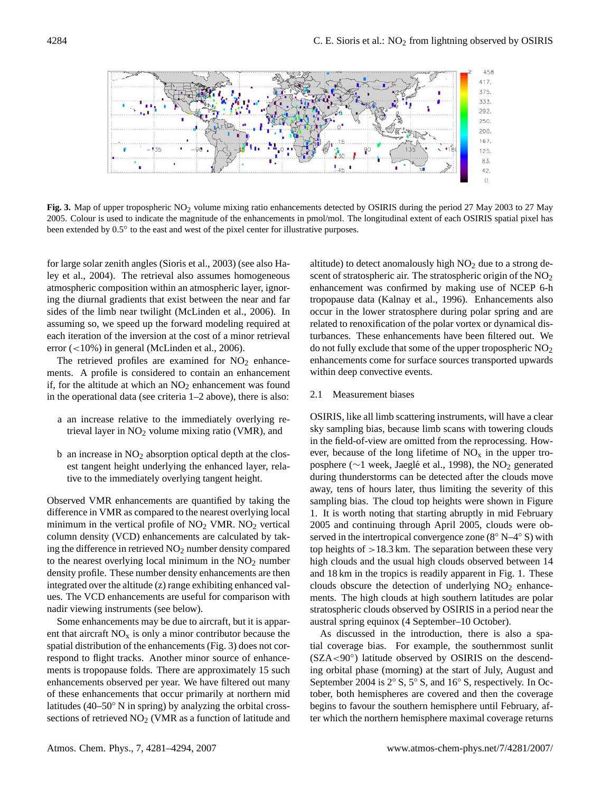

**Fig. 3.** Map of upper tropospheric NO<sub>2</sub> volume mixing ratio enhancements detected by OSIRIS during the period 27 May 2003 to 27 May 2005. Colour is used to indicate the magnitude of the enhancements in pmol/mol. The longitudinal extent of each OSIRIS spatial pixel has been extended by 0.5° to the east and west of the pixel center for illustrative purposes.

for large solar zenith angles (Sioris et al., 2003) (see also Haley et al., 2004). The retrieval also assumes homogeneous atmospheric composition within an atmospheric layer, ignoring the diurnal gradients that exist between the near and far sides of the limb near twilight (McLinden et al., 2006). In assuming so, we speed up the forward modeling required at each iteration of the inversion at the cost of a minor retrieval error  $\left($  <10%) in general (McLinden et al., 2006).

The retrieved profiles are examined for  $NO<sub>2</sub>$  enhancements. A profile is considered to contain an enhancement if, for the altitude at which an  $NO<sub>2</sub>$  enhancement was found in the operational data (see criteria 1–2 above), there is also:

- a an increase relative to the immediately overlying retrieval layer in  $NO<sub>2</sub>$  volume mixing ratio (VMR), and
- $b$  an increase in  $NO<sub>2</sub>$  absorption optical depth at the closest tangent height underlying the enhanced layer, relative to the immediately overlying tangent height.

Observed VMR enhancements are quantified by taking the difference in VMR as compared to the nearest overlying local minimum in the vertical profile of  $NO<sub>2</sub>$  VMR.  $NO<sub>2</sub>$  vertical column density (VCD) enhancements are calculated by taking the difference in retrieved NO<sup>2</sup> number density compared to the nearest overlying local minimum in the  $NO<sub>2</sub>$  number density profile. These number density enhancements are then integrated over the altitude (z) range exhibiting enhanced values. The VCD enhancements are useful for comparison with nadir viewing instruments (see below).

Some enhancements may be due to aircraft, but it is apparent that aircraft  $NO<sub>x</sub>$  is only a minor contributor because the spatial distribution of the enhancements (Fig. 3) does not correspond to flight tracks. Another minor source of enhancements is tropopause folds. There are approximately 15 such enhancements observed per year. We have filtered out many of these enhancements that occur primarily at northern mid latitudes (40–50◦ N in spring) by analyzing the orbital crosssections of retrieved NO<sub>2</sub> (VMR as a function of latitude and altitude) to detect anomalously high  $NO<sub>2</sub>$  due to a strong descent of stratospheric air. The stratospheric origin of the  $NO<sub>2</sub>$ enhancement was confirmed by making use of NCEP 6-h tropopause data (Kalnay et al., 1996). Enhancements also occur in the lower stratosphere during polar spring and are related to renoxification of the polar vortex or dynamical disturbances. These enhancements have been filtered out. We do not fully exclude that some of the upper tropospheric  $NO<sub>2</sub>$ enhancements come for surface sources transported upwards within deep convective events.

## 2.1 Measurement biases

OSIRIS, like all limb scattering instruments, will have a clear sky sampling bias, because limb scans with towering clouds in the field-of-view are omitted from the reprocessing. However, because of the long lifetime of  $NO<sub>x</sub>$  in the upper troposphere (∼1 week, Jaeglé et al., 1998), the NO<sub>2</sub> generated during thunderstorms can be detected after the clouds move away, tens of hours later, thus limiting the severity of this sampling bias. The cloud top heights were shown in Figure 1. It is worth noting that starting abruptly in mid February 2005 and continuing through April 2005, clouds were observed in the intertropical convergence zone (8° N–4° S) with top heights of  $>18.3$  km. The separation between these very high clouds and the usual high clouds observed between 14 and 18 km in the tropics is readily apparent in Fig. 1. These clouds obscure the detection of underlying  $NO<sub>2</sub>$  enhancements. The high clouds at high southern latitudes are polar stratospheric clouds observed by OSIRIS in a period near the austral spring equinox (4 September–10 October).

As discussed in the introduction, there is also a spatial coverage bias. For example, the southernmost sunlit (SZA<90◦ ) latitude observed by OSIRIS on the descending orbital phase (morning) at the start of July, August and September 2004 is 2<sup>°</sup> S, 5<sup>°</sup> S, and 16<sup>°</sup> S, respectively. In October, both hemispheres are covered and then the coverage begins to favour the southern hemisphere until February, after which the northern hemisphere maximal coverage returns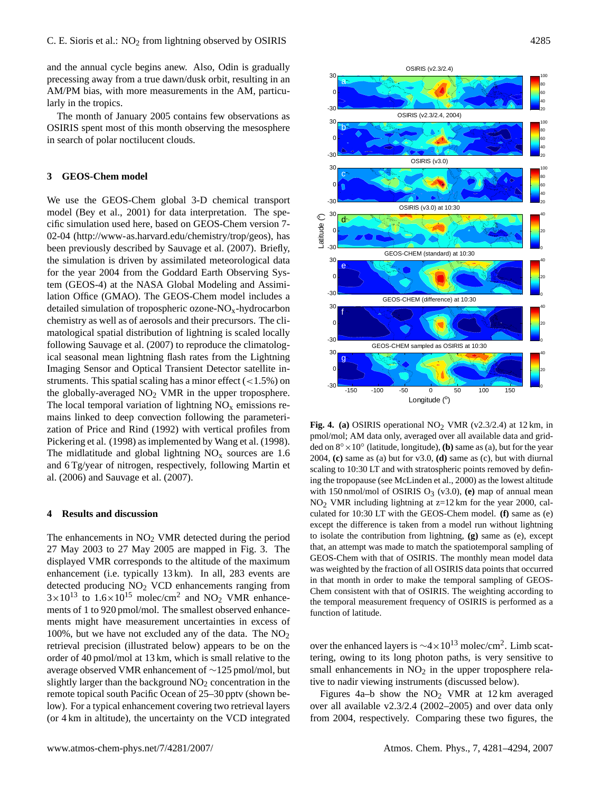and the annual cycle begins anew. Also, Odin is gradually precessing away from a true dawn/dusk orbit, resulting in an AM/PM bias, with more measurements in the AM, particularly in the tropics.

The month of January 2005 contains few observations as OSIRIS spent most of this month observing the mesosphere in search of polar noctilucent clouds.

# **3 GEOS-Chem model**

We use the GEOS-Chem global 3-D chemical transport model (Bey et al., 2001) for data interpretation. The specific simulation used here, based on GEOS-Chem version 7- 02-04 [\(http://www-as.harvard.edu/chemistry/trop/geos\)](http://www-as.harvard.edu/chemistry/trop/geos), has been previously described by Sauvage et al. (2007). Briefly, the simulation is driven by assimilated meteorological data for the year 2004 from the Goddard Earth Observing System (GEOS-4) at the NASA Global Modeling and Assimilation Office (GMAO). The GEOS-Chem model includes a detailed simulation of tropospheric ozone- $NO<sub>x</sub>$ -hydrocarbon chemistry as well as of aerosols and their precursors. The climatological spatial distribution of lightning is scaled locally following Sauvage et al. (2007) to reproduce the climatological seasonal mean lightning flash rates from the Lightning Imaging Sensor and Optical Transient Detector satellite instruments. This spatial scaling has a minor effect  $\left($  < 1.5%) on the globally-averaged  $NO<sub>2</sub>$  VMR in the upper troposphere. The local temporal variation of lightning  $NO<sub>x</sub>$  emissions remains linked to deep convection following the parameterization of Price and Rind (1992) with vertical profiles from Pickering et al. (1998) as implemented by Wang et al. (1998). The midlatitude and global lightning  $NO<sub>x</sub>$  sources are 1.6 and 6 Tg/year of nitrogen, respectively, following Martin et al. (2006) and Sauvage et al. (2007).

## **4 Results and discussion**

The enhancements in  $NO<sub>2</sub>$  VMR detected during the period 27 May 2003 to 27 May 2005 are mapped in Fig. 3. The displayed VMR corresponds to the altitude of the maximum enhancement (i.e. typically 13 km). In all, 283 events are detected producing  $NO<sub>2</sub> VCD$  enhancements ranging from  $3 \times 10^{13}$  to  $1.6 \times 10^{15}$  molec/cm<sup>2</sup> and NO<sub>2</sub> VMR enhancements of 1 to 920 pmol/mol. The smallest observed enhancements might have measurement uncertainties in excess of 100%, but we have not excluded any of the data. The  $NO<sub>2</sub>$ retrieval precision (illustrated below) appears to be on the order of 40 pmol/mol at 13 km, which is small relative to the average observed VMR enhancement of ∼125 pmol/mol, but slightly larger than the background  $NO<sub>2</sub>$  concentration in the remote topical south Pacific Ocean of 25–30 pptv (shown below). For a typical enhancement covering two retrieval layers (or 4 km in altitude), the uncertainty on the VCD integrated



**Fig. 4. (a)** OSIRIS operational  $NO<sub>2</sub>$  VMR (v2.3/2.4) at 12 km, in pmol/mol; AM data only, averaged over all available data and gridded on  $8^\circ \times 10^\circ$  (latitude, longitude), **(b)** same as (a), but for the year 2004, **(c)** same as (a) but for v3.0, **(d)** same as (c), but with diurnal scaling to 10:30 LT and with stratospheric points removed by defining the tropopause (see McLinden et al., 2000) as the lowest altitude with 150 nmol/mol of OSIRIS  $O_3$  (v3.0), (e) map of annual mean  $NO<sub>2</sub>$  VMR including lightning at  $z=12$  km for the year 2000, calculated for 10:30 LT with the GEOS-Chem model. **(f)** same as (e) except the difference is taken from a model run without lightning to isolate the contribution from lightning, **(g)** same as (e), except that, an attempt was made to match the spatiotemporal sampling of GEOS-Chem with that of OSIRIS. The monthly mean model data was weighted by the fraction of all OSIRIS data points that occurred in that month in order to make the temporal sampling of GEOS-Chem consistent with that of OSIRIS. The weighting according to the temporal measurement frequency of OSIRIS is performed as a function of latitude.

over the enhanced layers is  $\sim$ 4 × 10<sup>13</sup> molec/cm<sup>2</sup>. Limb scattering, owing to its long photon paths, is very sensitive to small enhancements in  $NO<sub>2</sub>$  in the upper troposphere relative to nadir viewing instruments (discussed below).

Figures 4a–b show the  $NO<sub>2</sub>$  VMR at 12 km averaged over all available v2.3/2.4 (2002–2005) and over data only from 2004, respectively. Comparing these two figures, the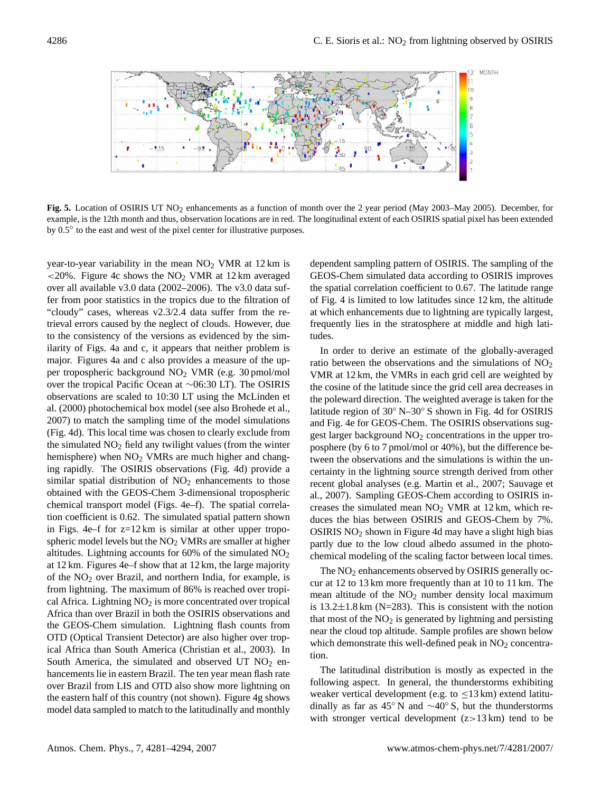

**Fig. 5.** Location of OSIRIS UT NO<sub>2</sub> enhancements as a function of month over the 2 year period (May 2003–May 2005). December, for example, is the 12th month and thus, observation locations are in red. The longitudinal extent of each OSIRIS spatial pixel has been extended by  $0.5^\circ$  to the east and west of the pixel center for illustrative purposes.

year-to-year variability in the mean  $NO<sub>2</sub>$  VMR at 12 km is  $\langle 20\%$ . Figure 4c shows the NO<sub>2</sub> VMR at 12 km averaged over all available v3.0 data (2002–2006). The v3.0 data suffer from poor statistics in the tropics due to the filtration of "cloudy" cases, whereas v2.3/2.4 data suffer from the retrieval errors caused by the neglect of clouds. However, due to the consistency of the versions as evidenced by the similarity of Figs. 4a and c, it appears that neither problem is major. Figures 4a and c also provides a measure of the upper tropospheric background NO<sup>2</sup> VMR (e.g. 30 pmol/mol over the tropical Pacific Ocean at ∼06:30 LT). The OSIRIS observations are scaled to 10:30 LT using the McLinden et al. (2000) photochemical box model (see also Brohede et al., 2007) to match the sampling time of the model simulations (Fig. 4d). This local time was chosen to clearly exclude from the simulated  $NO<sub>2</sub>$  field any twilight values (from the winter hemisphere) when NO<sub>2</sub> VMRs are much higher and changing rapidly. The OSIRIS observations (Fig. 4d) provide a similar spatial distribution of  $NO<sub>2</sub>$  enhancements to those obtained with the GEOS-Chem 3-dimensional tropospheric chemical transport model (Figs. 4e–f). The spatial correlation coefficient is 0.62. The simulated spatial pattern shown in Figs. 4e–f for z=12 km is similar at other upper tropospheric model levels but the NO<sub>2</sub> VMRs are smaller at higher altitudes. Lightning accounts for  $60\%$  of the simulated  $NO<sub>2</sub>$ at 12 km. Figures 4e–f show that at 12 km, the large majority of the  $NO<sub>2</sub>$  over Brazil, and northern India, for example, is from lightning. The maximum of 86% is reached over tropical Africa. Lightning  $NO<sub>2</sub>$  is more concentrated over tropical Africa than over Brazil in both the OSIRIS observations and the GEOS-Chem simulation. Lightning flash counts from OTD (Optical Transient Detector) are also higher over tropical Africa than South America (Christian et al., 2003). In South America, the simulated and observed UT  $NO<sub>2</sub>$  enhancements lie in eastern Brazil. The ten year mean flash rate over Brazil from LIS and OTD also show more lightning on the eastern half of this country (not shown). Figure 4g shows model data sampled to match to the latitudinally and monthly dependent sampling pattern of OSIRIS. The sampling of the GEOS-Chem simulated data according to OSIRIS improves the spatial correlation coefficient to 0.67. The latitude range of Fig. 4 is limited to low latitudes since 12 km, the altitude at which enhancements due to lightning are typically largest, frequently lies in the stratosphere at middle and high latitudes.

In order to derive an estimate of the globally-averaged ratio between the observations and the simulations of  $NO<sub>2</sub>$ VMR at 12 km, the VMRs in each grid cell are weighted by the cosine of the latitude since the grid cell area decreases in the poleward direction. The weighted average is taken for the latitude region of 30◦ N–30◦ S shown in Fig. 4d for OSIRIS and Fig. 4e for GEOS-Chem. The OSIRIS observations suggest larger background  $NO<sub>2</sub>$  concentrations in the upper troposphere (by 6 to 7 pmol/mol or 40%), but the difference between the observations and the simulations is within the uncertainty in the lightning source strength derived from other recent global analyses (e.g. Martin et al., 2007; Sauvage et al., 2007). Sampling GEOS-Chem according to OSIRIS increases the simulated mean  $NO<sub>2</sub>$  VMR at 12 km, which reduces the bias between OSIRIS and GEOS-Chem by 7%. OSIRIS  $NO<sub>2</sub>$  shown in Figure 4d may have a slight high bias partly due to the low cloud albedo assumed in the photochemical modeling of the scaling factor between local times.

The  $NO<sub>2</sub>$  enhancements observed by OSIRIS generally occur at 12 to 13 km more frequently than at 10 to 11 km. The mean altitude of the  $NO<sub>2</sub>$  number density local maximum is  $13.2 \pm 1.8$  km (N=283). This is consistent with the notion that most of the  $NO<sub>2</sub>$  is generated by lightning and persisting near the cloud top altitude. Sample profiles are shown below which demonstrate this well-defined peak in  $NO<sub>2</sub>$  concentration.

The latitudinal distribution is mostly as expected in the following aspect. In general, the thunderstorms exhibiting weaker vertical development (e.g. to  $\leq$ 13 km) extend latitudinally as far as 45° N and  $\sim$ 40° S, but the thunderstorms with stronger vertical development  $(z>13 \text{ km})$  tend to be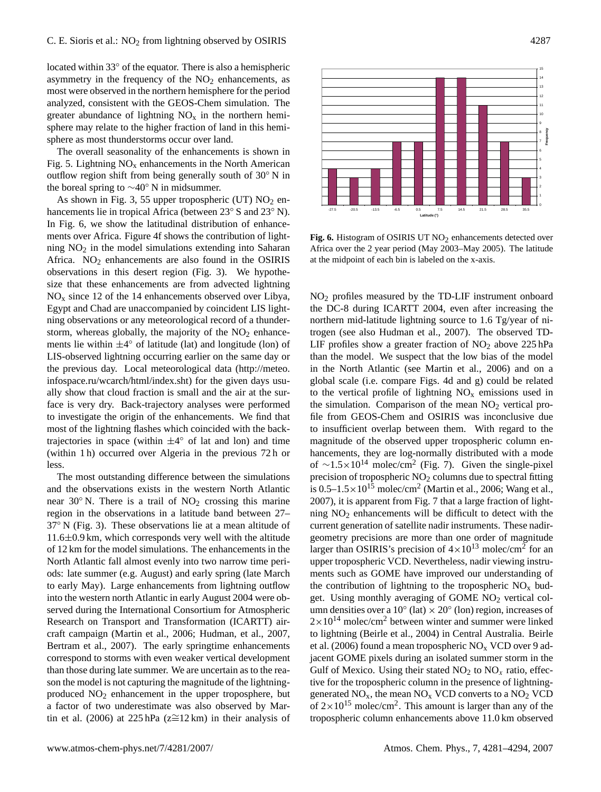located within 33◦ of the equator. There is also a hemispheric asymmetry in the frequency of the  $NO<sub>2</sub>$  enhancements, as most were observed in the northern hemisphere for the period analyzed, consistent with the GEOS-Chem simulation. The greater abundance of lightning  $NO<sub>x</sub>$  in the northern hemisphere may relate to the higher fraction of land in this hemisphere as most thunderstorms occur over land.

The overall seasonality of the enhancements is shown in Fig. 5. Lightning  $NO<sub>x</sub>$  enhancements in the North American outflow region shift from being generally south of 30◦ N in the boreal spring to ∼40◦ N in midsummer.

As shown in Fig. 3, 55 upper tropospheric (UT)  $NO<sub>2</sub>$  enhancements lie in tropical Africa (between 23◦ S and 23◦ N). In Fig. 6, we show the latitudinal distribution of enhancements over Africa. Figure 4f shows the contribution of lightning  $NO<sub>2</sub>$  in the model simulations extending into Saharan Africa.  $NO<sub>2</sub>$  enhancements are also found in the OSIRIS observations in this desert region (Fig. 3). We hypothesize that these enhancements are from advected lightning  $NO<sub>x</sub>$  since 12 of the 14 enhancements observed over Libya, Egypt and Chad are unaccompanied by coincident LIS lightning observations or any meteorological record of a thunderstorm, whereas globally, the majority of the  $NO<sub>2</sub>$  enhancements lie within  $\pm 4^{\circ}$  of latitude (lat) and longitude (lon) of LIS-observed lightning occurring earlier on the same day or the previous day. Local meteorological data [\(http://meteo.](http://meteo.infospace.ru/wcarch/html/index.sht) [infospace.ru/wcarch/html/index.sht\)](http://meteo.infospace.ru/wcarch/html/index.sht) for the given days usually show that cloud fraction is small and the air at the surface is very dry. Back-trajectory analyses were performed to investigate the origin of the enhancements. We find that most of the lightning flashes which coincided with the backtrajectories in space (within  $\pm 4^{\circ}$  of lat and lon) and time (within 1 h) occurred over Algeria in the previous 72 h or less.

The most outstanding difference between the simulations and the observations exists in the western North Atlantic near  $30°$  N. There is a trail of  $NO<sub>2</sub>$  crossing this marine region in the observations in a latitude band between 27– 37◦ N (Fig. 3). These observations lie at a mean altitude of 11.6±0.9 km, which corresponds very well with the altitude of 12 km for the model simulations. The enhancements in the North Atlantic fall almost evenly into two narrow time periods: late summer (e.g. August) and early spring (late March to early May). Large enhancements from lightning outflow into the western north Atlantic in early August 2004 were observed during the International Consortium for Atmospheric Research on Transport and Transformation (ICARTT) aircraft campaign (Martin et al., 2006; Hudman, et al., 2007, Bertram et al., 2007). The early springtime enhancements correspond to storms with even weaker vertical development than those during late summer. We are uncertain as to the reason the model is not capturing the magnitude of the lightningproduced  $NO<sub>2</sub>$  enhancement in the upper troposphere, but a factor of two underestimate was also observed by Martin et al. (2006) at 225 hPa ( $z \approx 12 \text{ km}$ ) in their analysis of



Fig. 6. Histogram of OSIRIS UT NO<sub>2</sub> enhancements detected over Africa over the 2 year period (May 2003–May 2005). The latitude at the midpoint of each bin is labeled on the x-axis.

NO<sup>2</sup> profiles measured by the TD-LIF instrument onboard the DC-8 during ICARTT 2004, even after increasing the northern mid-latitude lightning source to 1.6 Tg/year of nitrogen (see also Hudman et al., 2007). The observed TD-LIF profiles show a greater fraction of  $NO<sub>2</sub>$  above 225 hPa than the model. We suspect that the low bias of the model in the North Atlantic (see Martin et al., 2006) and on a global scale (i.e. compare Figs. 4d and g) could be related to the vertical profile of lightning  $NO<sub>x</sub>$  emissions used in the simulation. Comparison of the mean  $NO<sub>2</sub>$  vertical profile from GEOS-Chem and OSIRIS was inconclusive due to insufficient overlap between them. With regard to the magnitude of the observed upper tropospheric column enhancements, they are log-normally distributed with a mode of  $\sim$ 1.5×10<sup>14</sup> molec/cm<sup>2</sup> (Fig. 7). Given the single-pixel precision of tropospheric  $NO<sub>2</sub>$  columns due to spectral fitting is  $0.5-1.5 \times 10^{15}$  molec/cm<sup>2</sup> (Martin et al., 2006; Wang et al., 2007), it is apparent from Fig. 7 that a large fraction of lightning  $NO<sub>2</sub>$  enhancements will be difficult to detect with the current generation of satellite nadir instruments. These nadirgeometry precisions are more than one order of magnitude larger than OSIRIS's precision of  $4 \times 10^{13}$  molec/cm<sup>2</sup> for an upper tropospheric VCD. Nevertheless, nadir viewing instruments such as GOME have improved our understanding of the contribution of lightning to the tropospheric  $NO<sub>x</sub>$  budget. Using monthly averaging of GOME  $NO<sub>2</sub>$  vertical column densities over a  $10^{\circ}$  (lat)  $\times$  20 $^{\circ}$  (lon) region, increases of  $2\times10^{14}$  molec/cm<sup>2</sup> between winter and summer were linked to lightning (Beirle et al., 2004) in Central Australia. Beirle et al. (2006) found a mean tropospheric  $NO<sub>x</sub> VCD$  over 9 adjacent GOME pixels during an isolated summer storm in the Gulf of Mexico. Using their stated  $NO<sub>2</sub>$  to  $NO<sub>x</sub>$  ratio, effective for the tropospheric column in the presence of lightninggenerated  $NO_x$ , the mean  $NO_x$  VCD converts to a  $NO_2$  VCD of  $2 \times 10^{15}$  molec/cm<sup>2</sup>. This amount is larger than any of the tropospheric column enhancements above 11.0 km observed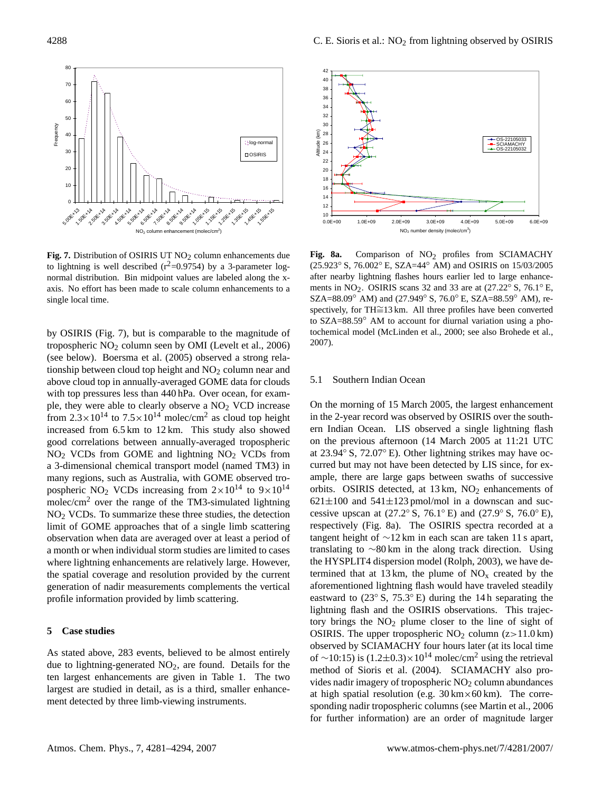

**Fig. 7.** Distribution of OSIRIS UT NO<sub>2</sub> column enhancements due to lightning is well described  $(r^2=0.9754)$  by a 3-parameter lognormal distribution. Bin midpoint values are labeled along the xaxis. No effort has been made to scale column enhancements to a single local time.

by OSIRIS (Fig. 7), but is comparable to the magnitude of tropospheric NO<sup>2</sup> column seen by OMI (Levelt et al., 2006) (see below). Boersma et al. (2005) observed a strong relationship between cloud top height and  $NO<sub>2</sub>$  column near and above cloud top in annually-averaged GOME data for clouds with top pressures less than 440 hPa. Over ocean, for example, they were able to clearly observe a  $NO<sub>2</sub> VCD$  increase from  $2.3 \times 10^{14}$  to  $7.5 \times 10^{14}$  molec/cm<sup>2</sup> as cloud top height increased from 6.5 km to 12 km. This study also showed good correlations between annually-averaged tropospheric  $NO<sub>2</sub>$  VCDs from GOME and lightning  $NO<sub>2</sub>$  VCDs from a 3-dimensional chemical transport model (named TM3) in many regions, such as Australia, with GOME observed tropospheric NO<sub>2</sub> VCDs increasing from  $2 \times 10^{14}$  to  $9 \times 10^{14}$ molec/cm<sup>2</sup> over the range of the TM3-simulated lightning NO<sup>2</sup> VCDs. To summarize these three studies, the detection limit of GOME approaches that of a single limb scattering observation when data are averaged over at least a period of a month or when individual storm studies are limited to cases where lightning enhancements are relatively large. However, the spatial coverage and resolution provided by the current generation of nadir measurements complements the vertical profile information provided by limb scattering.

#### **5 Case studies**

As stated above, 283 events, believed to be almost entirely due to lightning-generated  $NO<sub>2</sub>$ , are found. Details for the ten largest enhancements are given in Table 1. The two largest are studied in detail, as is a third, smaller enhancement detected by three limb-viewing instruments.



Fig. 8a. Comparison of NO<sub>2</sub> profiles from SCIAMACHY (25.923◦ S, 76.002◦ E, SZA=44◦ AM) and OSIRIS on 15/03/2005 after nearby lightning flashes hours earlier led to large enhancements in NO<sub>2</sub>. OSIRIS scans 32 and 33 are at  $(27.22° S, 76.1° E,$ SZA=88.09° AM) and (27.949° S, 76.0° E, SZA=88.59° AM), respectively, for TH≅13 km. All three profiles have been converted to SZA=88.59◦ AM to account for diurnal variation using a photochemical model (McLinden et al., 2000; see also Brohede et al., 2007).

#### 5.1 Southern Indian Ocean

On the morning of 15 March 2005, the largest enhancement in the 2-year record was observed by OSIRIS over the southern Indian Ocean. LIS observed a single lightning flash on the previous afternoon (14 March 2005 at 11:21 UTC at 23.94◦ S, 72.07◦ E). Other lightning strikes may have occurred but may not have been detected by LIS since, for example, there are large gaps between swaths of successive orbits. OSIRIS detected, at  $13 \text{ km}$ ,  $NO_2$  enhancements of  $621\pm100$  and  $541\pm123$  pmol/mol in a downscan and successive upscan at  $(27.2° S, 76.1° E)$  and  $(27.9° S, 76.0° E)$ , respectively (Fig. 8a). The OSIRIS spectra recorded at a tangent height of ∼12 km in each scan are taken 11 s apart, translating to ∼80 km in the along track direction. Using the HYSPLIT4 dispersion model (Rolph, 2003), we have determined that at 13 km, the plume of  $NO<sub>x</sub>$  created by the aforementioned lightning flash would have traveled steadily eastward to  $(23° S, 75.3° E)$  during the 14 h separating the lightning flash and the OSIRIS observations. This trajectory brings the  $NO<sub>2</sub>$  plume closer to the line of sight of OSIRIS. The upper tropospheric  $NO<sub>2</sub>$  column (z>11.0 km) observed by SCIAMACHY four hours later (at its local time of ∼10:15) is  $(1.2\pm0.3)\times10^{14}$  molec/cm<sup>2</sup> using the retrieval method of Sioris et al. (2004). SCIAMACHY also provides nadir imagery of tropospheric  $NO<sub>2</sub>$  column abundances at high spatial resolution (e.g.  $30 \text{ km} \times 60 \text{ km}$ ). The corresponding nadir tropospheric columns (see Martin et al., 2006 for further information) are an order of magnitude larger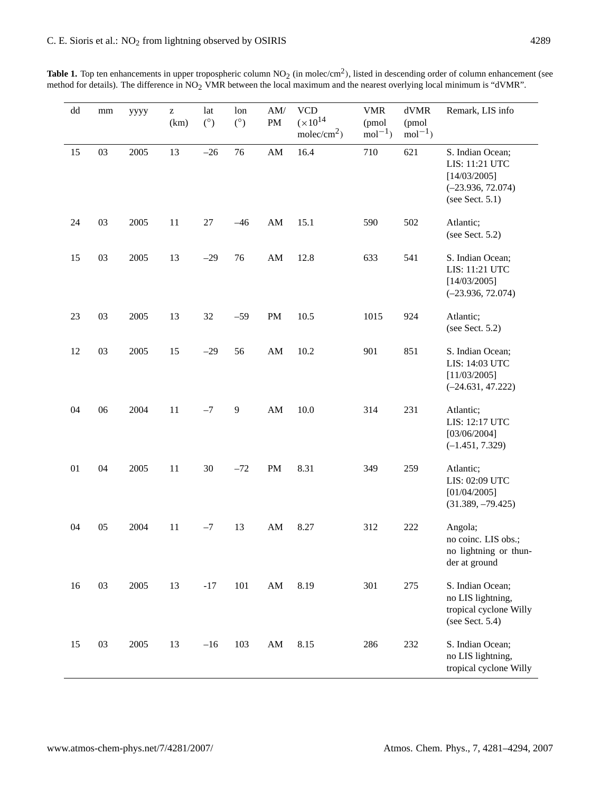| dd | mm | уууу | z<br>(km) | lat<br>(°) | lon<br>$(^\circ)$ | $\mathrm{AM}/$<br>$\mathbf{PM}$ | <b>VCD</b><br>$(x10^{14})$<br>molec/cm <sup>2</sup> ) | <b>VMR</b><br>(pmol<br>$mol-1$ | $\rm dVMR$<br>(pmol<br>$mol^{-1}$ ) | Remark, LIS info                                                                                |
|----|----|------|-----------|------------|-------------------|---------------------------------|-------------------------------------------------------|--------------------------------|-------------------------------------|-------------------------------------------------------------------------------------------------|
| 15 | 03 | 2005 | 13        | $-26$      | 76                | ${\rm AM}$                      | 16.4                                                  | 710                            | 621                                 | S. Indian Ocean;<br>LIS: 11:21 UTC<br>[14/03/2005]<br>$(-23.936, 72.074)$<br>(see Sect. $5.1$ ) |
| 24 | 03 | 2005 | 11        | $27\,$     | $-46$             | AM                              | 15.1                                                  | 590                            | 502                                 | Atlantic;<br>(see Sect. $5.2$ )                                                                 |
| 15 | 03 | 2005 | 13        | $-29$      | 76                | $\mathbf{A}\mathbf{M}$          | 12.8                                                  | 633                            | 541                                 | S. Indian Ocean;<br>LIS: 11:21 UTC<br>[14/03/2005]<br>$(-23.936, 72.074)$                       |
| 23 | 03 | 2005 | 13        | 32         | $-59$             | PM                              | 10.5                                                  | 1015                           | 924                                 | Atlantic;<br>(see Sect. $5.2$ )                                                                 |
| 12 | 03 | 2005 | 15        | $-29$      | 56                | $\mathbf{A}\mathbf{M}$          | 10.2                                                  | 901                            | 851                                 | S. Indian Ocean;<br>LIS: 14:03 UTC<br>[11/03/2005]<br>$(-24.631, 47.222)$                       |
| 04 | 06 | 2004 | 11        | $-7$       | 9                 | $\mathbf{A}\mathbf{M}$          | 10.0                                                  | 314                            | 231                                 | Atlantic;<br>LIS: 12:17 UTC<br>[03/06/2004]<br>$(-1.451, 7.329)$                                |
| 01 | 04 | 2005 | 11        | 30         | $-72$             | $\mathbf{PM}$                   | 8.31                                                  | 349                            | 259                                 | Atlantic;<br>LIS: 02:09 UTC<br>[01/04/2005]<br>$(31.389, -79.425)$                              |
| 04 | 05 | 2004 | 11        | $-7$       | 13                | $\mathbf{A}\mathbf{M}$          | 8.27                                                  | 312                            | 222                                 | Angola;<br>no coinc. LIS obs.;<br>no lightning or thun-<br>der at ground                        |
| 16 | 03 | 2005 | 13        | $-17$      | 101               | $\mathbf{A}\mathbf{M}$          | 8.19                                                  | 301                            | 275                                 | S. Indian Ocean;<br>no LIS lightning,<br>tropical cyclone Willy<br>(see Sect. $5.4$ )           |
| 15 | 03 | 2005 | 13        | $-16$      | 103               | $\mathbf{A}\mathbf{M}$          | 8.15                                                  | 286                            | 232                                 | S. Indian Ocean;<br>no LIS lightning,<br>tropical cyclone Willy                                 |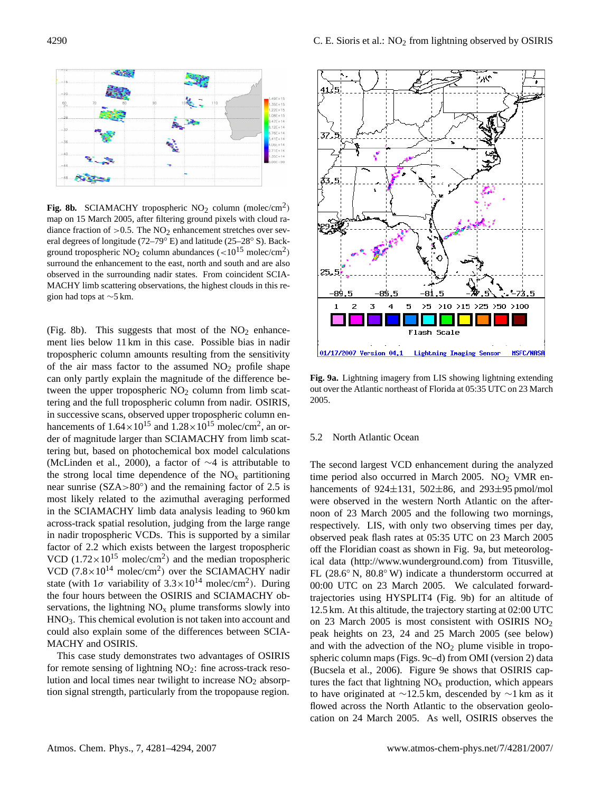

**Fig. 8b.** SCIAMACHY tropospheric  $NO<sub>2</sub>$  column (molec/cm<sup>2</sup>) map on 15 March 2005, after filtering ground pixels with cloud radiance fraction of  $>0.5$ . The NO<sub>2</sub> enhancement stretches over several degrees of longitude (72–79◦ E) and latitude (25–28◦ S). Background tropospheric NO<sub>2</sub> column abundances  $\left(\frac{10^{15} \text{ molec/cm}^2}{\text{m}}\right)$ surround the enhancement to the east, north and south and are also observed in the surrounding nadir states. From coincident SCIA-MACHY limb scattering observations, the highest clouds in this region had tops at ∼5 km.

(Fig. 8b). This suggests that most of the  $NO<sub>2</sub>$  enhancement lies below 11 km in this case. Possible bias in nadir tropospheric column amounts resulting from the sensitivity of the air mass factor to the assumed  $NO<sub>2</sub>$  profile shape can only partly explain the magnitude of the difference between the upper tropospheric  $NO<sub>2</sub>$  column from limb scattering and the full tropospheric column from nadir. OSIRIS, in successive scans, observed upper tropospheric column enhancements of  $1.64 \times 10^{15}$  and  $1.28 \times 10^{15}$  molec/cm<sup>2</sup>, an order of magnitude larger than SCIAMACHY from limb scattering but, based on photochemical box model calculations (McLinden et al., 2000), a factor of ∼4 is attributable to the strong local time dependence of the  $NO<sub>x</sub>$  partitioning near sunrise (SZA>80◦ ) and the remaining factor of 2.5 is most likely related to the azimuthal averaging performed in the SCIAMACHY limb data analysis leading to 960 km across-track spatial resolution, judging from the large range in nadir tropospheric VCDs. This is supported by a similar factor of 2.2 which exists between the largest tropospheric VCD  $(1.72 \times 10^{15} \text{ molec/cm}^2)$  and the median tropospheric VCD  $(7.8 \times 10^{14} \text{ molec/cm}^2)$  over the SCIAMACHY nadir state (with  $1\sigma$  variability of  $3.3 \times 10^{14}$  molec/cm<sup>2</sup>). During the four hours between the OSIRIS and SCIAMACHY observations, the lightning  $NO<sub>x</sub>$  plume transforms slowly into HNO3. This chemical evolution is not taken into account and could also explain some of the differences between SCIA-MACHY and OSIRIS.

This case study demonstrates two advantages of OSIRIS for remote sensing of lightning  $NO<sub>2</sub>$ : fine across-track resolution and local times near twilight to increase  $NO<sub>2</sub>$  absorption signal strength, particularly from the tropopause region.



**Fig. 9a.** Lightning imagery from LIS showing lightning extending out over the Atlantic northeast of Florida at 05:35 UTC on 23 March 2005.

#### 5.2 North Atlantic Ocean

The second largest VCD enhancement during the analyzed time period also occurred in March 2005. NO<sub>2</sub> VMR enhancements of  $924\pm131$ ,  $502\pm86$ , and  $293\pm95$  pmol/mol were observed in the western North Atlantic on the afternoon of 23 March 2005 and the following two mornings, respectively. LIS, with only two observing times per day, observed peak flash rates at 05:35 UTC on 23 March 2005 off the Floridian coast as shown in Fig. 9a, but meteorological data [\(http://www.wunderground.com\)](http://www.wunderground.com) from Titusville, FL (28.6◦ N, 80.8◦ W) indicate a thunderstorm occurred at 00:00 UTC on 23 March 2005. We calculated forwardtrajectories using HYSPLIT4 (Fig. 9b) for an altitude of 12.5 km. At this altitude, the trajectory starting at 02:00 UTC on 23 March 2005 is most consistent with OSIRIS NO<sup>2</sup> peak heights on 23, 24 and 25 March 2005 (see below) and with the advection of the  $NO<sub>2</sub>$  plume visible in tropospheric column maps (Figs. 9c–d) from OMI (version 2) data (Bucsela et al., 2006). Figure 9e shows that OSIRIS captures the fact that lightning  $NO<sub>x</sub>$  production, which appears to have originated at ∼12.5 km, descended by ∼1 km as it flowed across the North Atlantic to the observation geolocation on 24 March 2005. As well, OSIRIS observes the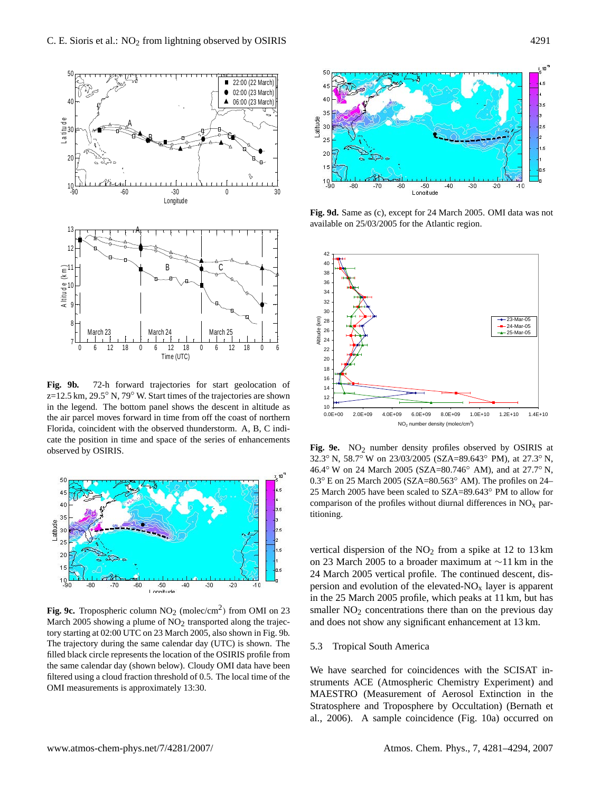

**Fig. 9b.** 72-h forward trajectories for start geolocation of  $\frac{14}{14}$  $z=12.5$  km,  $29.5°$  N,  $79°$  W. Start times of the trajectories are shown the air parcel moves forward in time from off the coast of northern cate the position in time and space of the series of enhancements observed by OSIRIS.



**Fig. 9c.** Tropospheric column  $NO_2$  (molec/cm<sup>2</sup>) from OMI on 23 March 2005 showing a plume of  $NO<sub>2</sub>$  transported along the trajectory starting at 02:00 UTC on 23 March 2005, also shown in Fig. 9b. The trajectory during the same calendar day (UTC) is shown. The filled black circle represents the location of the OSIRIS profile from the same calendar day (shown below). Cloudy OMI data have been filtered using a cloud fraction threshold of 0.5. The local time of the OMI measurements is approximately 13:30.



**Fig. 9d.** Same as (c), except for 24 March 2005. OMI data was not available on 25/03/2005 for the Atlantic region.



Fig. 9e. NO<sub>2</sub> number density profiles observed by OSIRIS at 32.3◦ N, 58.7◦ W on 23/03/2005 (SZA=89.643◦ PM), at 27.3◦ N, 46.4◦ W on 24 March 2005 (SZA=80.746◦ AM), and at 27.7◦ N, 0.3◦ E on 25 March 2005 (SZA=80.563◦ AM). The profiles on 24– 25 March 2005 have been scaled to SZA=89.643◦ PM to allow for comparison of the profiles without diurnal differences in  $NO<sub>x</sub>$  partitioning.

vertical dispersion of the  $NO<sub>2</sub>$  from a spike at 12 to 13 km on 23 March 2005 to a broader maximum at ∼11 km in the 24 March 2005 vertical profile. The continued descent, dispersion and evolution of the elevated- $NO<sub>x</sub>$  layer is apparent in the 25 March 2005 profile, which peaks at 11 km, but has smaller  $NO<sub>2</sub>$  concentrations there than on the previous day and does not show any significant enhancement at 13 km.

# 5.3 Tropical South America

We have searched for coincidences with the SCISAT instruments ACE (Atmospheric Chemistry Experiment) and MAESTRO (Measurement of Aerosol Extinction in the Stratosphere and Troposphere by Occultation) (Bernath et al., 2006). A sample coincidence (Fig. 10a) occurred on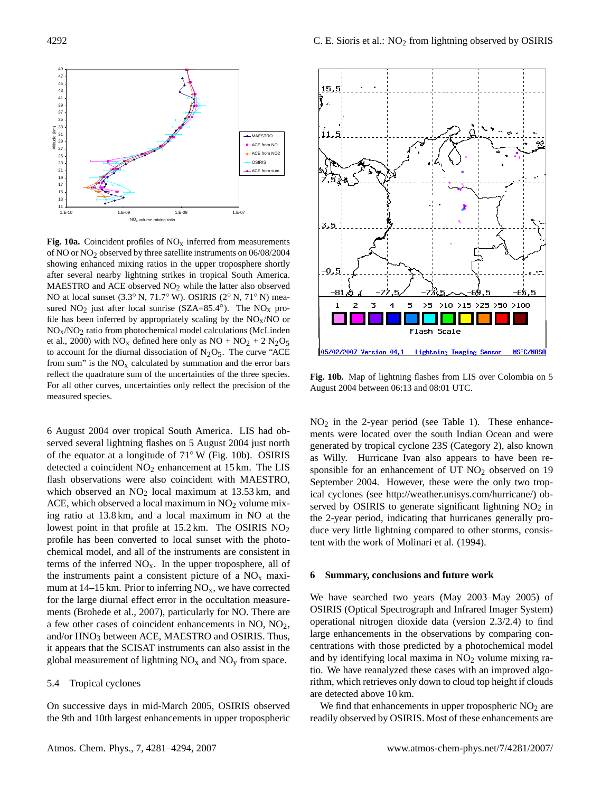

**Fig. 10a.** Coincident profiles of  $NO<sub>x</sub>$  inferred from measurements of NO or NO2 observed by three satellite instruments on 06/08/2004 showing enhanced mixing ratios in the upper troposphere shortly after several nearby lightning strikes in tropical South America. MAESTRO and ACE observed  $NO<sub>2</sub>$  while the latter also observed NO at local sunset (3.3◦ N, 71.7◦ W). OSIRIS (2◦ N, 71◦ N) measured  $NO<sub>2</sub>$  just after local sunrise (SZA=85.4°). The  $NO<sub>x</sub>$  profile has been inferred by appropriately scaling by the  $NO<sub>x</sub>/NO$  or  $NO<sub>x</sub>/NO<sub>2</sub>$  ratio from photochemical model calculations (McLinden et al., 2000) with  $NO<sub>x</sub>$  defined here only as  $NO + NO<sub>2</sub> + 2 N<sub>2</sub>O<sub>5</sub>$ to account for the diurnal dissociation of  $N_2O_5$ . The curve "ACE from sum" is the  $NO<sub>x</sub>$  calculated by summation and the error bars reflect the quadrature sum of the uncertainties of the three species. For all other curves, uncertainties only reflect the precision of the measured species.

6 August 2004 over tropical South America. LIS had observed several lightning flashes on 5 August 2004 just north of the equator at a longitude of 71◦ W (Fig. 10b). OSIRIS detected a coincident  $NO<sub>2</sub>$  enhancement at 15 km. The LIS flash observations were also coincident with MAESTRO, which observed an  $NO<sub>2</sub>$  local maximum at 13.53 km, and ACE, which observed a local maximum in  $NO<sub>2</sub>$  volume mixing ratio at 13.8 km, and a local maximum in NO at the lowest point in that profile at  $15.2 \text{ km}$ . The OSIRIS NO<sub>2</sub> profile has been converted to local sunset with the photochemical model, and all of the instruments are consistent in terms of the inferred  $NO<sub>x</sub>$ . In the upper troposphere, all of the instruments paint a consistent picture of a  $NO<sub>x</sub>$  maximum at  $14-15$  km. Prior to inferring NO<sub>x</sub>, we have corrected for the large diurnal effect error in the occultation measurements (Brohede et al., 2007), particularly for NO. There are a few other cases of coincident enhancements in NO, NO2, and/or HNO<sub>3</sub> between ACE, MAESTRO and OSIRIS. Thus, it appears that the SCISAT instruments can also assist in the global measurement of lightning  $NO_x$  and  $NO_y$  from space.

## 5.4 Tropical cyclones

On successive days in mid-March 2005, OSIRIS observed the 9th and 10th largest enhancements in upper tropospheric



**Fig. 10b.** Map of lightning flashes from LIS over Colombia on 5 August 2004 between 06:13 and 08:01 UTC.

 $NO<sub>2</sub>$  in the 2-year period (see Table 1). These enhancements were located over the south Indian Ocean and were generated by tropical cyclone 23S (Category 2), also known as Willy. Hurricane Ivan also appears to have been responsible for an enhancement of UT NO<sub>2</sub> observed on 19 September 2004. However, these were the only two tropical cyclones (see [http://weather.unisys.com/hurricane/\)](http://weather.unisys.com/hurricane/) observed by OSIRIS to generate significant lightning  $NO<sub>2</sub>$  in the 2-year period, indicating that hurricanes generally produce very little lightning compared to other storms, consistent with the work of Molinari et al. (1994).

## **6 Summary, conclusions and future work**

We have searched two years (May 2003–May 2005) of OSIRIS (Optical Spectrograph and Infrared Imager System) operational nitrogen dioxide data (version 2.3/2.4) to find large enhancements in the observations by comparing concentrations with those predicted by a photochemical model and by identifying local maxima in  $NO<sub>2</sub>$  volume mixing ratio. We have reanalyzed these cases with an improved algorithm, which retrieves only down to cloud top height if clouds are detected above 10 km.

We find that enhancements in upper tropospheric  $NO<sub>2</sub>$  are readily observed by OSIRIS. Most of these enhancements are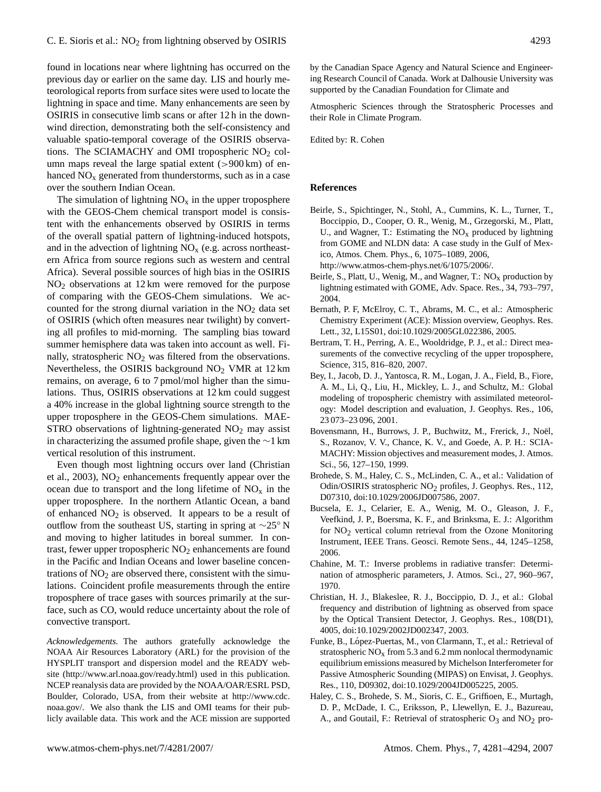found in locations near where lightning has occurred on the previous day or earlier on the same day. LIS and hourly meteorological reports from surface sites were used to locate the lightning in space and time. Many enhancements are seen by OSIRIS in consecutive limb scans or after 12 h in the downwind direction, demonstrating both the self-consistency and valuable spatio-temporal coverage of the OSIRIS observations. The SCIAMACHY and OMI tropospheric  $NO<sub>2</sub>$  column maps reveal the large spatial extent  $(>900 \text{ km})$  of enhanced  $NO<sub>x</sub>$  generated from thunderstorms, such as in a case over the southern Indian Ocean.

The simulation of lightning  $NO<sub>x</sub>$  in the upper troposphere with the GEOS-Chem chemical transport model is consistent with the enhancements observed by OSIRIS in terms of the overall spatial pattern of lightning-induced hotspots, and in the advection of lightning  $NO<sub>x</sub>$  (e.g. across northeastern Africa from source regions such as western and central Africa). Several possible sources of high bias in the OSIRIS NO<sup>2</sup> observations at 12 km were removed for the purpose of comparing with the GEOS-Chem simulations. We accounted for the strong diurnal variation in the  $NO<sub>2</sub>$  data set of OSIRIS (which often measures near twilight) by converting all profiles to mid-morning. The sampling bias toward summer hemisphere data was taken into account as well. Finally, stratospheric  $NO<sub>2</sub>$  was filtered from the observations. Nevertheless, the OSIRIS background  $NO<sub>2</sub>$  VMR at 12 km remains, on average, 6 to 7 pmol/mol higher than the simulations. Thus, OSIRIS observations at 12 km could suggest a 40% increase in the global lightning source strength to the upper troposphere in the GEOS-Chem simulations. MAE-STRO observations of lightning-generated  $NO<sub>2</sub>$  may assist in characterizing the assumed profile shape, given the ∼1 km vertical resolution of this instrument.

Even though most lightning occurs over land (Christian et al., 2003),  $NO<sub>2</sub>$  enhancements frequently appear over the ocean due to transport and the long lifetime of  $NO<sub>x</sub>$  in the upper troposphere. In the northern Atlantic Ocean, a band of enhanced  $NO<sub>2</sub>$  is observed. It appears to be a result of outflow from the southeast US, starting in spring at ∼25◦ N and moving to higher latitudes in boreal summer. In contrast, fewer upper tropospheric  $NO<sub>2</sub>$  enhancements are found in the Pacific and Indian Oceans and lower baseline concentrations of  $NO<sub>2</sub>$  are observed there, consistent with the simulations. Coincident profile measurements through the entire troposphere of trace gases with sources primarily at the surface, such as CO, would reduce uncertainty about the role of convective transport.

*Acknowledgements.* The authors gratefully acknowledge the NOAA Air Resources Laboratory (ARL) for the provision of the HYSPLIT transport and dispersion model and the READY website [\(http://www.arl.noaa.gov/ready.html\)](http://www.arl.noaa.gov/ready.html) used in this publication. NCEP reanalysis data are provided by the NOAA/OAR/ESRL PSD, Boulder, Colorado, USA, from their website at [http://www.cdc.](http://www.cdc.noaa.gov/) [noaa.gov/.](http://www.cdc.noaa.gov/) We also thank the LIS and OMI teams for their publicly available data. This work and the ACE mission are supported by the Canadian Space Agency and Natural Science and Engineering Research Council of Canada. Work at Dalhousie University was supported by the Canadian Foundation for Climate and

Atmospheric Sciences through the Stratospheric Processes and their Role in Climate Program.

Edited by: R. Cohen

#### **References**

- Beirle, S., Spichtinger, N., Stohl, A., Cummins, K. L., Turner, T., Boccippio, D., Cooper, O. R., Wenig, M., Grzegorski, M., Platt, U., and Wagner, T.: Estimating the  $NO<sub>x</sub>$  produced by lightning from GOME and NLDN data: A case study in the Gulf of Mexico, Atmos. Chem. Phys., 6, 1075–1089, 2006, [http://www.atmos-chem-phys.net/6/1075/2006/.](http://www.atmos-chem-phys.net/6/1075/2006/)
- Beirle, S., Platt, U., Wenig, M., and Wagner, T.:  $NO<sub>x</sub>$  production by lightning estimated with GOME, Adv. Space. Res., 34, 793–797, 2004.
- Bernath, P. F, McElroy, C. T., Abrams, M. C., et al.: Atmospheric Chemistry Experiment (ACE): Mission overview, Geophys. Res. Lett., 32, L15S01, doi:10.1029/2005GL022386, 2005.
- Bertram, T. H., Perring, A. E., Wooldridge, P. J., et al.: Direct measurements of the convective recycling of the upper troposphere, Science, 315, 816–820, 2007.
- Bey, I., Jacob, D. J., Yantosca, R. M., Logan, J. A., Field, B., Fiore, A. M., Li, Q., Liu, H., Mickley, L. J., and Schultz, M.: Global modeling of tropospheric chemistry with assimilated meteorology: Model description and evaluation, J. Geophys. Res., 106, 23 073–23 096, 2001.
- Bovensmann, H., Burrows, J. P., Buchwitz, M., Frerick, J., Noël, S., Rozanov, V. V., Chance, K. V., and Goede, A. P. H.: SCIA-MACHY: Mission objectives and measurement modes, J. Atmos. Sci., 56, 127–150, 1999.
- Brohede, S. M., Haley, C. S., McLinden, C. A., et al.: Validation of Odin/OSIRIS stratospheric NO2 profiles, J. Geophys. Res., 112, D07310, doi:10.1029/2006JD007586, 2007.
- Bucsela, E. J., Celarier, E. A., Wenig, M. O., Gleason, J. F., Veefkind, J. P., Boersma, K. F., and Brinksma, E. J.: Algorithm for  $NO<sub>2</sub>$  vertical column retrieval from the Ozone Monitoring Instrument, IEEE Trans. Geosci. Remote Sens., 44, 1245–1258, 2006.
- Chahine, M. T.: Inverse problems in radiative transfer: Determination of atmospheric parameters, J. Atmos. Sci., 27, 960–967, 1970.
- Christian, H. J., Blakeslee, R. J., Boccippio, D. J., et al.: Global frequency and distribution of lightning as observed from space by the Optical Transient Detector, J. Geophys. Res., 108(D1), 4005, doi:10.1029/2002JD002347, 2003.
- Funke, B., López-Puertas, M., von Clarmann, T., et al.: Retrieval of stratospheric  $NO<sub>x</sub>$  from 5.3 and 6.2 mm nonlocal thermodynamic equilibrium emissions measured by Michelson Interferometer for Passive Atmospheric Sounding (MIPAS) on Envisat, J. Geophys. Res., 110, D09302, doi:10.1029/2004JD005225, 2005.
- Haley, C. S., Brohede, S. M., Sioris, C. E., Griffioen, E., Murtagh, D. P., McDade, I. C., Eriksson, P., Llewellyn, E. J., Bazureau, A., and Goutail, F.: Retrieval of stratospheric  $O_3$  and  $NO_2$  pro-